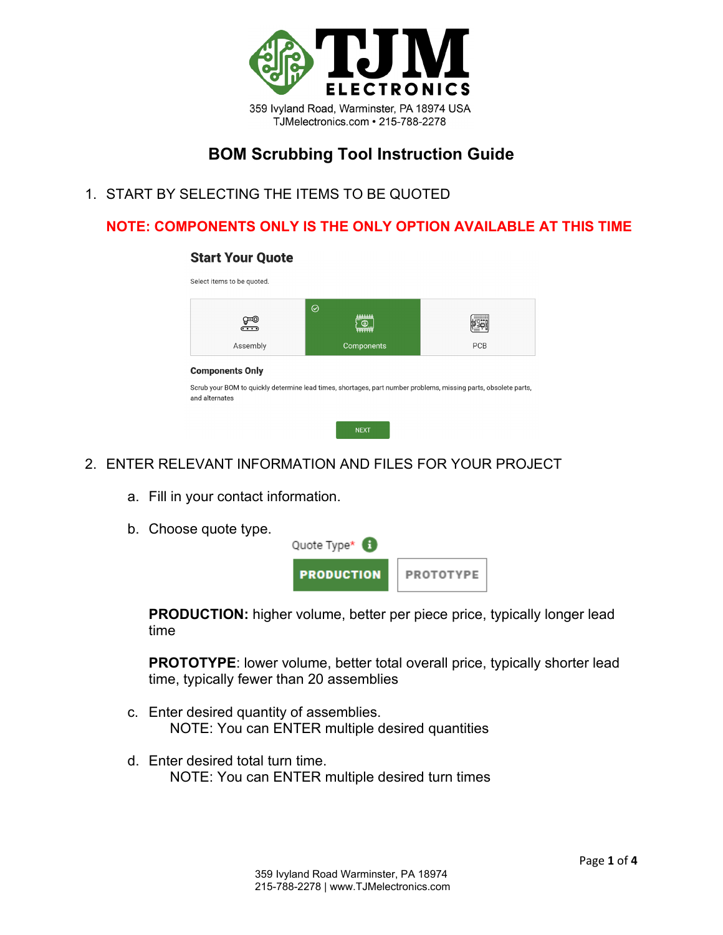

# **BOM Scrubbing Tool Instruction Guide**

1. START BY SELECTING THE ITEMS TO BE QUOTED

# **NOTE: COMPONENTS ONLY IS THE ONLY OPTION AVAILABLE AT THIS TIME**

#### **Start Your Quote**

| ⊕⊕<br>$\overline{\cdots}$ | $\odot$<br><b>AAAAAAA</b><br>`@<br>annanne |                                                                                                                 |
|---------------------------|--------------------------------------------|-----------------------------------------------------------------------------------------------------------------|
| Assembly                  | Components                                 | PCB                                                                                                             |
| <b>Components Only</b>    |                                            | Scrub your BOM to quickly determine lead times, shortages, part number problems, missing parts, obsolete parts, |

- 2. ENTER RELEVANT INFORMATION AND FILES FOR YOUR PROJECT
	- a. Fill in your contact information.
	- b. Choose quote type.



**PRODUCTION:** higher volume, better per piece price, typically longer lead time

**PROTOTYPE**: lower volume, better total overall price, typically shorter lead time, typically fewer than 20 assemblies

- c. Enter desired quantity of assemblies. NOTE: You can ENTER multiple desired quantities
- d. Enter desired total turn time. NOTE: You can ENTER multiple desired turn times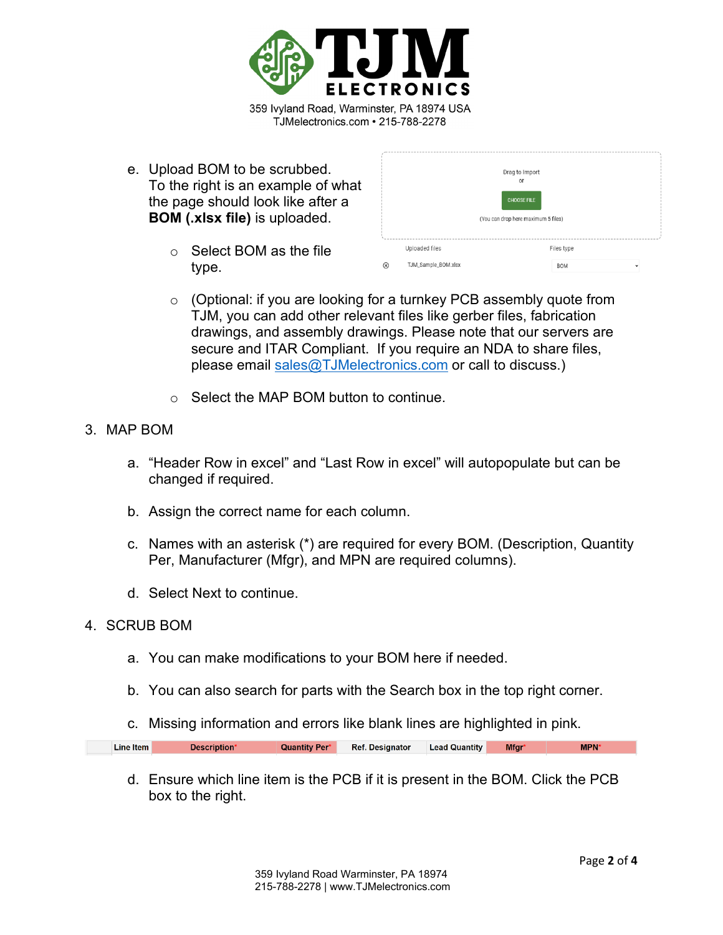

e. Upload BOM to be scrubbed. To the right is an example of what the page should look like after a **BOM (.xlsx file)** is uploaded.

|   |                     | Drag to Import<br>or<br><b>CHOOSE FILE</b><br>(You can drop here maximum 5 files) |              |
|---|---------------------|-----------------------------------------------------------------------------------|--------------|
|   | Uploaded files      | Files type                                                                        |              |
| ⊗ | TJM_Sample_BOM.xlsx | <b>BOM</b>                                                                        | $\checkmark$ |

- o Select BOM as the file type.
- o (Optional: if you are looking for a turnkey PCB assembly quote from TJM, you can add other relevant files like gerber files, fabrication drawings, and assembly drawings. Please note that our servers are secure and ITAR Compliant. If you require an NDA to share files, please email [sales@TJMelectronics.com](mailto:sales@TJMelectronics.com) or call to discuss.)
- o Select the MAP BOM button to continue.
- 3. MAP BOM
	- a. "Header Row in excel" and "Last Row in excel" will autopopulate but can be changed if required.
	- b. Assign the correct name for each column.
	- c. Names with an asterisk (\*) are required for every BOM. (Description, Quantity Per, Manufacturer (Mfgr), and MPN are required columns).
	- d. Select Next to continue.

## 4. SCRUB BOM

- a. You can make modifications to your BOM here if needed.
- b. You can also search for parts with the Search box in the top right corner.
- c. Missing information and errors like blank lines are highlighted in pink.

|  | Line Item | Description* | <b>Quantity Per*</b> | Ref. Designator Lead Quantity |  | <b>Mfgr</b> | <b>MPN*</b> |
|--|-----------|--------------|----------------------|-------------------------------|--|-------------|-------------|
|--|-----------|--------------|----------------------|-------------------------------|--|-------------|-------------|

d. Ensure which line item is the PCB if it is present in the BOM. Click the PCB box to the right.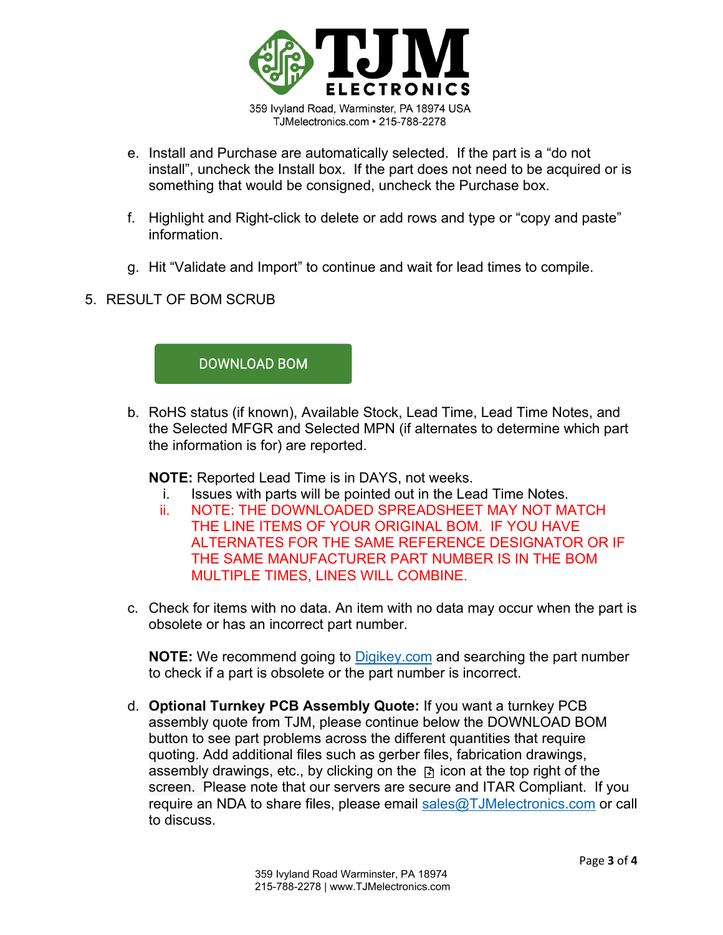

- e. Install and Purchase are automatically selected. If the part is a "do not install", uncheck the Install box. If the part does not need to be acquired or is something that would be consigned, uncheck the Purchase box.
- f. Highlight and Right-click to delete or add rows and type or "copy and paste" information.
- g. Hit "Validate and Import" to continue and wait for lead times to compile.
- 5. RESULT OF BOM SCRUB



b. RoHS status (if known), Available Stock, Lead Time, Lead Time Notes, and the Selected MFGR and Selected MPN (if alternates to determine which part the information is for) are reported.

**NOTE:** Reported Lead Time is in DAYS, not weeks.

- i. Issues with parts will be pointed out in the Lead Time Notes.
- ii. NOTE: THE DOWNLOADED SPREADSHEET MAY NOT MATCH THE LINE ITEMS OF YOUR ORIGINAL BOM. IF YOU HAVE ALTERNATES FOR THE SAME REFERENCE DESIGNATOR OR IF THE SAME MANUFACTURER PART NUMBER IS IN THE BOM MULTIPLE TIMES, LINES WILL COMBINE.
- c. Check for items with no data. An item with no data may occur when the part is obsolete or has an incorrect part number.

**NOTE:** We recommend going to [Digikey.com](https://www.digikey.com/) and searching the part number to check if a part is obsolete or the part number is incorrect.

d. **Optional Turnkey PCB Assembly Quote:** If you want a turnkey PCB assembly quote from TJM, please continue below the DOWNLOAD BOM button to see part problems across the different quantities that require quoting. Add additional files such as gerber files, fabrication drawings, assembly drawings, etc., by clicking on the  $\mathbb B$  icon at the top right of the screen. Please note that our servers are secure and ITAR Compliant. If you require an NDA to share files, please email [sales@TJMelectronics.com](mailto:sales@TJMelectronics.com) or call to discuss.